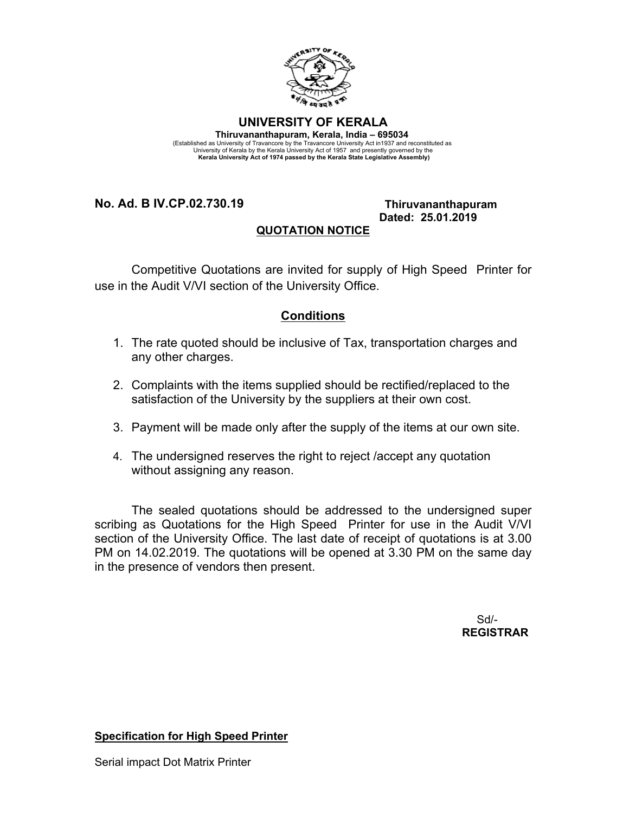

**UNIVERSITY OF KERALA Thiruvananthapuram, Kerala, India – 695034**  (Established as University of Travancore by the Travancore University Act in1937 and reconstituted as University of Kerala by the Kerala University Act of 1957 and presently governed by the  **Kerala University Act of 1974 passed by the Kerala State Legislative Assembly)**

**No. Ad. B IV.CP.02.730.19 Thiruvananthapuram**

## **Dated: 25.01.2019**

## **QUOTATION NOTICE**

Competitive Quotations are invited for supply of High Speed Printer for use in the Audit V/VI section of the University Office.

## **Conditions**

- 1. The rate quoted should be inclusive of Tax, transportation charges and any other charges.
- 2. Complaints with the items supplied should be rectified/replaced to the satisfaction of the University by the suppliers at their own cost.
- 3. Payment will be made only after the supply of the items at our own site.
- 4. The undersigned reserves the right to reject /accept any quotation without assigning any reason.

The sealed quotations should be addressed to the undersigned super scribing as Quotations for the High Speed Printer for use in the Audit V/VI section of the University Office. The last date of receipt of quotations is at 3.00 PM on 14.02.2019. The quotations will be opened at 3.30 PM on the same day in the presence of vendors then present.

> Sd/- **REGISTRAR**

**Specification for High Speed Printer**

Serial impact Dot Matrix Printer